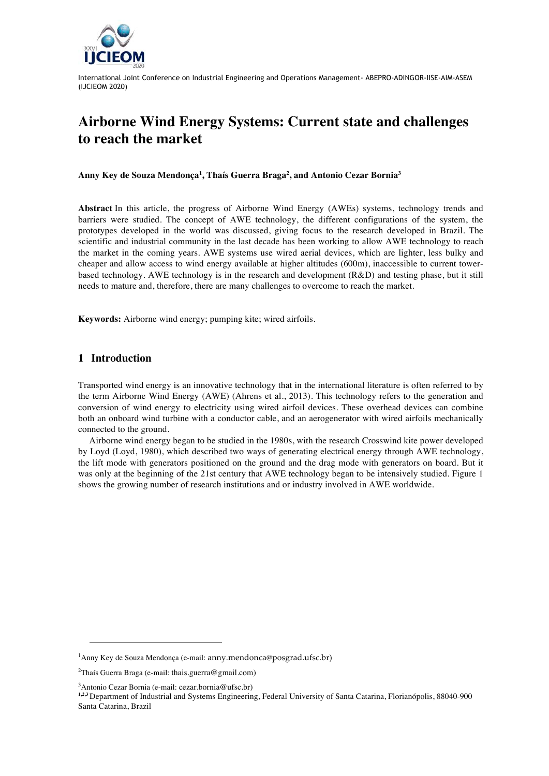

# **Airborne Wind Energy Systems: Current state and challenges to reach the market**

**Anny Key de Souza Mendonça1 , Thaís Guerra Braga2 , and Antonio Cezar Bornia3**

**Abstract** In this article, the progress of Airborne Wind Energy (AWEs) systems, technology trends and barriers were studied. The concept of AWE technology, the different configurations of the system, the prototypes developed in the world was discussed, giving focus to the research developed in Brazil. The scientific and industrial community in the last decade has been working to allow AWE technology to reach the market in the coming years. AWE systems use wired aerial devices, which are lighter, less bulky and cheaper and allow access to wind energy available at higher altitudes (600m), inaccessible to current towerbased technology. AWE technology is in the research and development (R&D) and testing phase, but it still needs to mature and, therefore, there are many challenges to overcome to reach the market.

**Keywords:** Airborne wind energy; pumping kite; wired airfoils.

# **1 Introduction**

 $\overline{a}$ 

Transported wind energy is an innovative technology that in the international literature is often referred to by the term Airborne Wind Energy (AWE) (Ahrens et al., 2013). This technology refers to the generation and conversion of wind energy to electricity using wired airfoil devices. These overhead devices can combine both an onboard wind turbine with a conductor cable, and an aerogenerator with wired airfoils mechanically connected to the ground.

Airborne wind energy began to be studied in the 1980s, with the research Crosswind kite power developed by Loyd (Loyd, 1980), which described two ways of generating electrical energy through AWE technology, the lift mode with generators positioned on the ground and the drag mode with generators on board. But it was only at the beginning of the 21st century that AWE technology began to be intensively studied. Figure 1 shows the growing number of research institutions and or industry involved in AWE worldwide.

<sup>1</sup> Anny Key de Souza Mendonça (e-mail: anny.mendonca@posgrad.ufsc.br)

 $^{2}$ Thaís Guerra Braga (e-mail: thais.guerra@gmail.com)

<sup>3</sup> Antonio Cezar Bornia (e-mail: cezar.bornia@ufsc.br)

**<sup>1,2,3</sup>** Department of Industrial and Systems Engineering, Federal University of Santa Catarina, Florianópolis, 88040-900 Santa Catarina, Brazil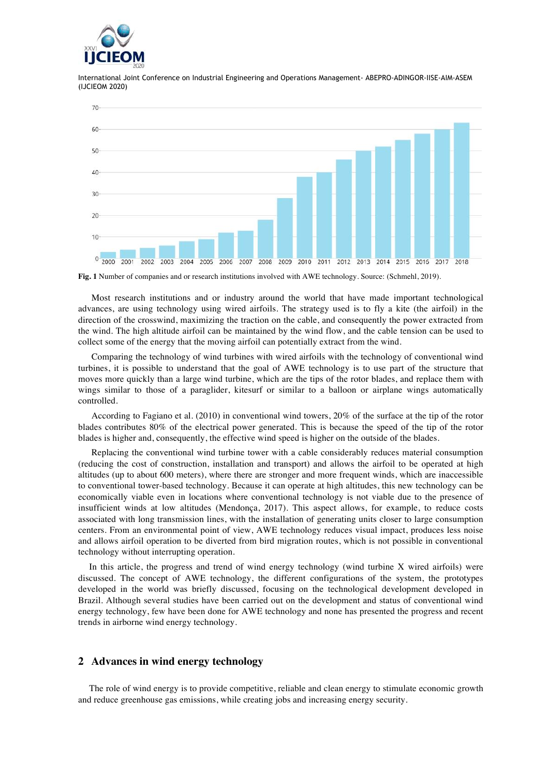



**Fig. 1** Number of companies and or research institutions involved with AWE technology. Source: (Schmehl, 2019).

Most research institutions and or industry around the world that have made important technological advances, are using technology using wired airfoils. The strategy used is to fly a kite (the airfoil) in the direction of the crosswind, maximizing the traction on the cable, and consequently the power extracted from the wind. The high altitude airfoil can be maintained by the wind flow, and the cable tension can be used to collect some of the energy that the moving airfoil can potentially extract from the wind.

Comparing the technology of wind turbines with wired airfoils with the technology of conventional wind turbines, it is possible to understand that the goal of AWE technology is to use part of the structure that moves more quickly than a large wind turbine, which are the tips of the rotor blades, and replace them with wings similar to those of a paraglider, kitesurf or similar to a balloon or airplane wings automatically controlled.

According to Fagiano et al. (2010) in conventional wind towers, 20% of the surface at the tip of the rotor blades contributes 80% of the electrical power generated. This is because the speed of the tip of the rotor blades is higher and, consequently, the effective wind speed is higher on the outside of the blades.

Replacing the conventional wind turbine tower with a cable considerably reduces material consumption (reducing the cost of construction, installation and transport) and allows the airfoil to be operated at high altitudes (up to about 600 meters), where there are stronger and more frequent winds, which are inaccessible to conventional tower-based technology. Because it can operate at high altitudes, this new technology can be economically viable even in locations where conventional technology is not viable due to the presence of insufficient winds at low altitudes (Mendonça, 2017). This aspect allows, for example, to reduce costs associated with long transmission lines, with the installation of generating units closer to large consumption centers. From an environmental point of view, AWE technology reduces visual impact, produces less noise and allows airfoil operation to be diverted from bird migration routes, which is not possible in conventional technology without interrupting operation.

In this article, the progress and trend of wind energy technology (wind turbine X wired airfoils) were discussed. The concept of AWE technology, the different configurations of the system, the prototypes developed in the world was briefly discussed, focusing on the technological development developed in Brazil. Although several studies have been carried out on the development and status of conventional wind energy technology, few have been done for AWE technology and none has presented the progress and recent trends in airborne wind energy technology.

## **2 Advances in wind energy technology**

The role of wind energy is to provide competitive, reliable and clean energy to stimulate economic growth and reduce greenhouse gas emissions, while creating jobs and increasing energy security.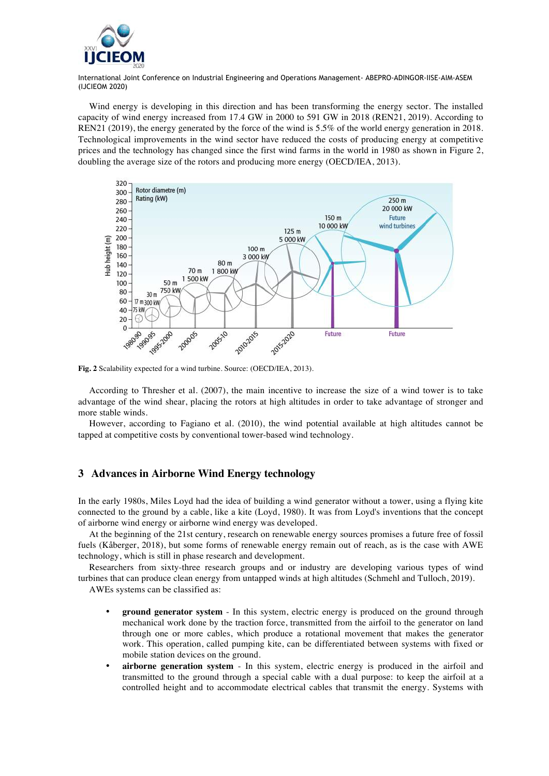

Wind energy is developing in this direction and has been transforming the energy sector. The installed capacity of wind energy increased from 17.4 GW in 2000 to 591 GW in 2018 (REN21, 2019). According to REN21 (2019), the energy generated by the force of the wind is 5.5% of the world energy generation in 2018. Technological improvements in the wind sector have reduced the costs of producing energy at competitive prices and the technology has changed since the first wind farms in the world in 1980 as shown in Figure 2, doubling the average size of the rotors and producing more energy (OECD/IEA, 2013).



**Fig. 2** Scalability expected for a wind turbine. Source: (OECD/IEA, 2013).

According to Thresher et al. (2007), the main incentive to increase the size of a wind tower is to take advantage of the wind shear, placing the rotors at high altitudes in order to take advantage of stronger and more stable winds.

However, according to Fagiano et al. (2010), the wind potential available at high altitudes cannot be tapped at competitive costs by conventional tower-based wind technology.

### **3 Advances in Airborne Wind Energy technology**

In the early 1980s, Miles Loyd had the idea of building a wind generator without a tower, using a flying kite connected to the ground by a cable, like a kite (Loyd, 1980). It was from Loyd's inventions that the concept of airborne wind energy or airborne wind energy was developed.

At the beginning of the 21st century, research on renewable energy sources promises a future free of fossil fuels (Kåberger, 2018), but some forms of renewable energy remain out of reach, as is the case with AWE technology, which is still in phase research and development.

Researchers from sixty-three research groups and or industry are developing various types of wind turbines that can produce clean energy from untapped winds at high altitudes (Schmehl and Tulloch, 2019).

AWEs systems can be classified as:

- **ground generator system** In this system, electric energy is produced on the ground through mechanical work done by the traction force, transmitted from the airfoil to the generator on land through one or more cables, which produce a rotational movement that makes the generator work. This operation, called pumping kite, can be differentiated between systems with fixed or mobile station devices on the ground.
- **airborne generation system** In this system, electric energy is produced in the airfoil and transmitted to the ground through a special cable with a dual purpose: to keep the airfoil at a controlled height and to accommodate electrical cables that transmit the energy. Systems with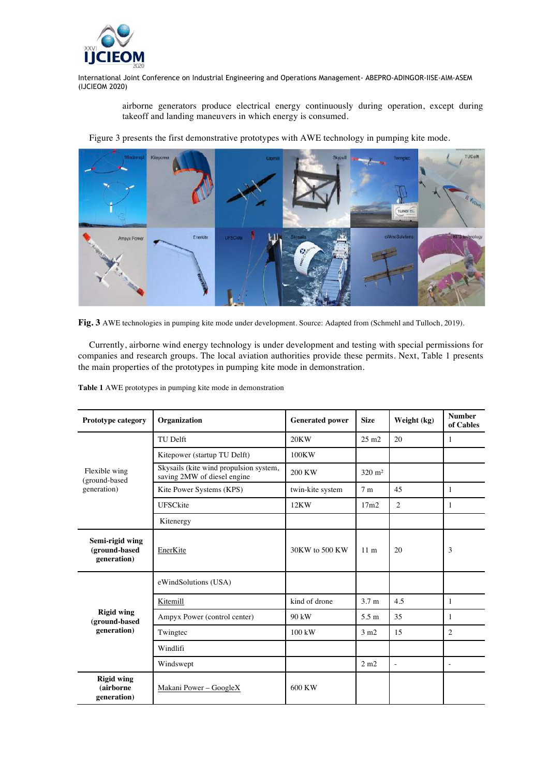

> airborne generators produce electrical energy continuously during operation, except during takeoff and landing maneuvers in which energy is consumed.

Figure 3 presents the first demonstrative prototypes with AWE technology in pumping kite mode.



**Fig. 3** AWE technologies in pumping kite mode under development. Source: Adapted from (Schmehl and Tulloch, 2019).

Currently, airborne wind energy technology is under development and testing with special permissions for companies and research groups. The local aviation authorities provide these permits. Next, Table 1 presents the main properties of the prototypes in pumping kite mode in demonstration.

| <b>Prototype category</b>                         | Organization                                                          | <b>Generated power</b> | <b>Size</b>       | Weight (kg)              | <b>Number</b><br>of Cables |
|---------------------------------------------------|-----------------------------------------------------------------------|------------------------|-------------------|--------------------------|----------------------------|
| Flexible wing<br>(ground-based<br>generation)     | TU Delft                                                              | 20KW                   | $25 \text{ m}$    | 20                       | $\mathbf{1}$               |
|                                                   | Kitepower (startup TU Delft)                                          | 100KW                  |                   |                          |                            |
|                                                   | Skysails (kite wind propulsion system,<br>saving 2MW of diesel engine | 200 KW                 | $320 \text{ m}^2$ |                          |                            |
|                                                   | Kite Power Systems (KPS)                                              | twin-kite system       | 7m                | 45                       | 1                          |
|                                                   | UFSCkite                                                              | 12KW                   | 17m2              | $\overline{2}$           | $\mathbf{1}$               |
|                                                   | Kitenergy                                                             |                        |                   |                          |                            |
| Semi-rigid wing<br>(ground-based<br>generation)   | EnerKite                                                              | 30KW to 500 KW         | 11 <sub>m</sub>   | 20                       | 3                          |
| <b>Rigid wing</b><br>(ground-based<br>generation) | eWindSolutions (USA)                                                  |                        |                   |                          |                            |
|                                                   | Kitemill                                                              | kind of drone          | 3.7 <sub>m</sub>  | 4.5                      | 1                          |
|                                                   | Ampyx Power (control center)                                          | 90 kW                  | 5.5 m             | 35                       | 1                          |
|                                                   | Twingtec                                                              | $100$ kW               | $3 \text{ m}2$    | 15                       | $\overline{c}$             |
|                                                   | Windlifi                                                              |                        |                   |                          |                            |
|                                                   | Windswept                                                             |                        | 2 m2              | $\overline{\phantom{a}}$ | $\overline{a}$             |
| <b>Rigid wing</b><br>(airborne<br>generation)     | Makani Power - GoogleX                                                | 600 KW                 |                   |                          |                            |

**Table 1** AWE prototypes in pumping kite mode in demonstration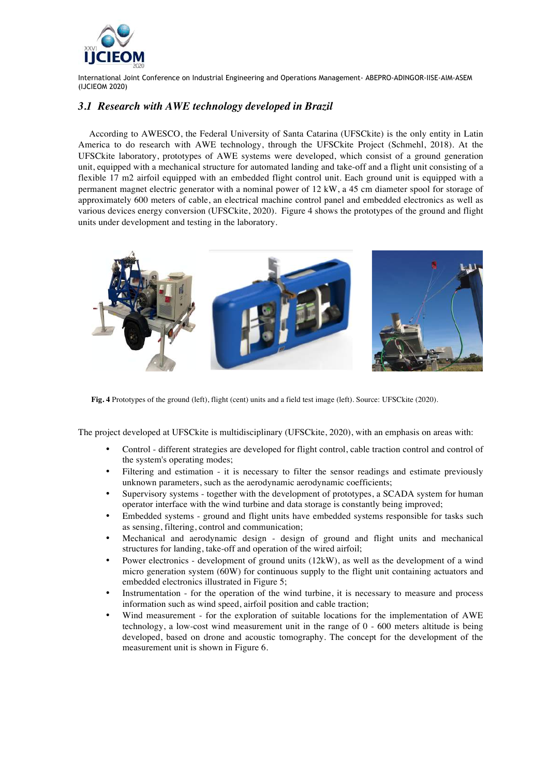

# *3.1 Research with AWE technology developed in Brazil*

According to AWESCO, the Federal University of Santa Catarina (UFSCkite) is the only entity in Latin America to do research with AWE technology, through the UFSCkite Project (Schmehl, 2018). At the UFSCkite laboratory, prototypes of AWE systems were developed, which consist of a ground generation unit, equipped with a mechanical structure for automated landing and take-off and a flight unit consisting of a flexible 17 m2 airfoil equipped with an embedded flight control unit. Each ground unit is equipped with a permanent magnet electric generator with a nominal power of 12 kW, a 45 cm diameter spool for storage of approximately 600 meters of cable, an electrical machine control panel and embedded electronics as well as various devices energy conversion (UFSCkite, 2020). Figure 4 shows the prototypes of the ground and flight units under development and testing in the laboratory.



**Fig. 4** Prototypes of the ground (left), flight (cent) units and a field test image (left). Source: UFSCkite (2020).

The project developed at UFSCkite is multidisciplinary (UFSCkite, 2020), with an emphasis on areas with:

- Control different strategies are developed for flight control, cable traction control and control of the system's operating modes;
- Filtering and estimation it is necessary to filter the sensor readings and estimate previously unknown parameters, such as the aerodynamic aerodynamic coefficients;
- Supervisory systems together with the development of prototypes, a SCADA system for human operator interface with the wind turbine and data storage is constantly being improved;
- Embedded systems ground and flight units have embedded systems responsible for tasks such as sensing, filtering, control and communication;
- Mechanical and aerodynamic design design of ground and flight units and mechanical structures for landing, take-off and operation of the wired airfoil;
- Power electronics development of ground units (12kW), as well as the development of a wind micro generation system (60W) for continuous supply to the flight unit containing actuators and embedded electronics illustrated in Figure 5;
- Instrumentation for the operation of the wind turbine, it is necessary to measure and process information such as wind speed, airfoil position and cable traction;
- Wind measurement for the exploration of suitable locations for the implementation of AWE technology, a low-cost wind measurement unit in the range of  $0 - 600$  meters altitude is being developed, based on drone and acoustic tomography. The concept for the development of the measurement unit is shown in Figure 6.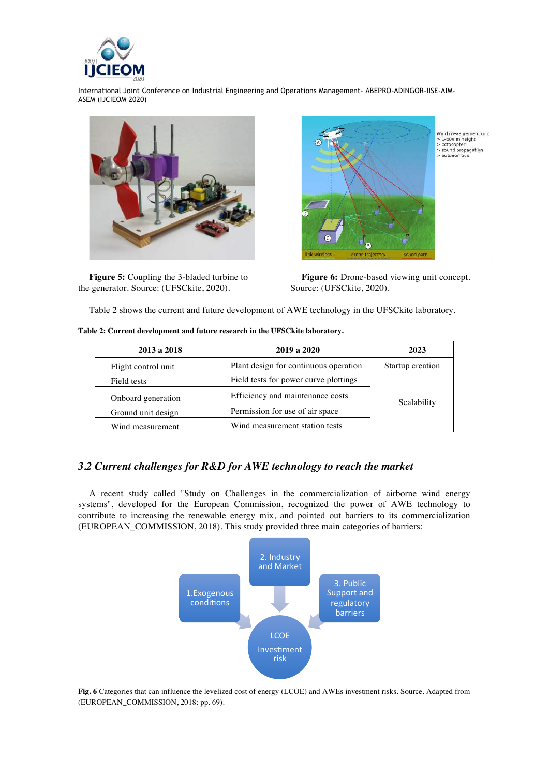



**Figure 5:** Coupling the 3-bladed turbine to the generator. Source: (UFSCkite, 2020).



**Figure 6:** Drone-based viewing unit concept. Source: (UFSCkite, 2020).

Table 2 shows the current and future development of AWE technology in the UFSCkite laboratory.

| 2013 a 2018         | 2019 a 2020                           | 2023             |  |
|---------------------|---------------------------------------|------------------|--|
| Flight control unit | Plant design for continuous operation | Startup creation |  |
| Field tests         | Field tests for power curve plottings | Scalability      |  |
| Onboard generation  | Efficiency and maintenance costs      |                  |  |
| Ground unit design  | Permission for use of air space       |                  |  |
| Wind measurement    | Wind measurement station tests        |                  |  |

**Table 2: Current development and future research in the UFSCkite laboratory.**

# *3.2 Current challenges for R&D for AWE technology to reach the market*

A recent study called "Study on Challenges in the commercialization of airborne wind energy systems", developed for the European Commission, recognized the power of AWE technology to contribute to increasing the renewable energy mix, and pointed out barriers to its commercialization (EUROPEAN\_COMMISSION, 2018). This study provided three main categories of barriers:



**Fig. 6** Categories that can influence the levelized cost of energy (LCOE) and AWEs investment risks. Source. Adapted from (EUROPEAN\_COMMISSION, 2018: pp. 69).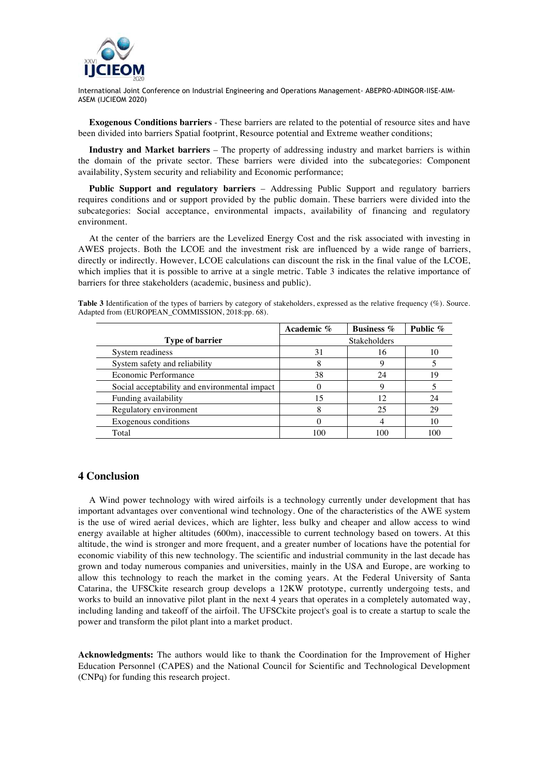

**Exogenous Conditions barriers** - These barriers are related to the potential of resource sites and have been divided into barriers Spatial footprint, Resource potential and Extreme weather conditions;

**Industry and Market barriers** – The property of addressing industry and market barriers is within the domain of the private sector. These barriers were divided into the subcategories: Component availability, System security and reliability and Economic performance;

**Public Support and regulatory barriers** – Addressing Public Support and regulatory barriers requires conditions and or support provided by the public domain. These barriers were divided into the subcategories: Social acceptance, environmental impacts, availability of financing and regulatory environment.

At the center of the barriers are the Levelized Energy Cost and the risk associated with investing in AWES projects. Both the LCOE and the investment risk are influenced by a wide range of barriers, directly or indirectly. However, LCOE calculations can discount the risk in the final value of the LCOE, which implies that it is possible to arrive at a single metric. Table 3 indicates the relative importance of barriers for three stakeholders (academic, business and public).

**Table 3** Identification of the types of barriers by category of stakeholders, expressed as the relative frequency (%). Source. Adapted from (EUROPEAN\_COMMISSION, 2018:pp. 68).

|                                               | Academic %          | <b>Business</b> % | Public % |
|-----------------------------------------------|---------------------|-------------------|----------|
| <b>Type of barrier</b>                        | <b>Stakeholders</b> |                   |          |
| System readiness                              | 31                  | 16                |          |
| System safety and reliability                 |                     |                   |          |
| Economic Performance                          | 38                  | 24                | 19       |
| Social acceptability and environmental impact |                     | Q                 |          |
| Funding availability                          | 15                  | 12                | 24       |
| Regulatory environment                        |                     | 25                | 29       |
| Exogenous conditions                          |                     |                   | 10       |
| Total                                         | 100                 | 100               | 100      |

#### **4 Conclusion**

A Wind power technology with wired airfoils is a technology currently under development that has important advantages over conventional wind technology. One of the characteristics of the AWE system is the use of wired aerial devices, which are lighter, less bulky and cheaper and allow access to wind energy available at higher altitudes (600m), inaccessible to current technology based on towers. At this altitude, the wind is stronger and more frequent, and a greater number of locations have the potential for economic viability of this new technology. The scientific and industrial community in the last decade has grown and today numerous companies and universities, mainly in the USA and Europe, are working to allow this technology to reach the market in the coming years. At the Federal University of Santa Catarina, the UFSCkite research group develops a 12KW prototype, currently undergoing tests, and works to build an innovative pilot plant in the next 4 years that operates in a completely automated way, including landing and takeoff of the airfoil. The UFSCkite project's goal is to create a startup to scale the power and transform the pilot plant into a market product.

**Acknowledgments:** The authors would like to thank the Coordination for the Improvement of Higher Education Personnel (CAPES) and the National Council for Scientific and Technological Development (CNPq) for funding this research project.